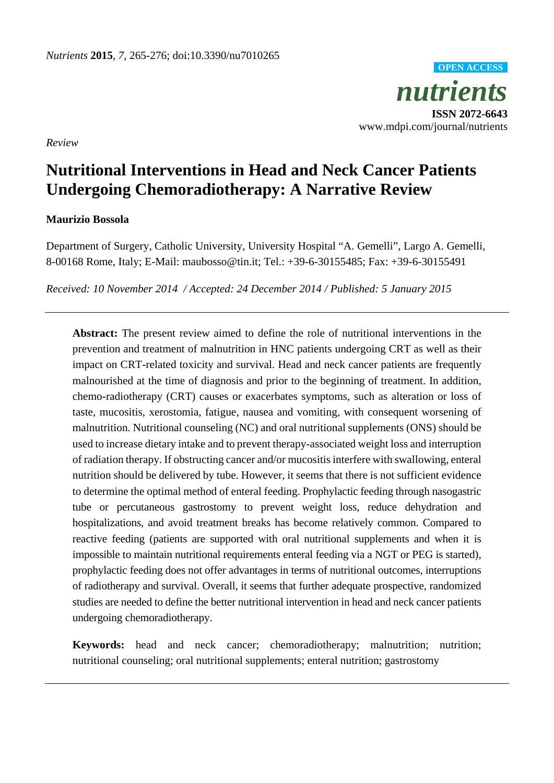*nutrients* **ISSN 2072-6643** www.mdpi.com/journal/nutrients **OPEN ACCESS**

*Review*

# **Nutritional Interventions in Head and Neck Cancer Patients Undergoing Chemoradiotherapy: A Narrative Review**

## **Maurizio Bossola**

Department of Surgery, Catholic University, University Hospital "A. Gemelli", Largo A. Gemelli, 8-00168 Rome, Italy; E-Mail: maubosso@tin.it; Tel.: +39-6-30155485; Fax: +39-6-30155491

*Received: 10 November 2014 / Accepted: 24 December 2014 / Published: 5 January 2015*

**Abstract:** The present review aimed to define the role of nutritional interventions in the prevention and treatment of malnutrition in HNC patients undergoing CRT as well as their impact on CRT-related toxicity and survival. Head and neck cancer patients are frequently malnourished at the time of diagnosis and prior to the beginning of treatment. In addition, chemo-radiotherapy (CRT) causes or exacerbates symptoms, such as alteration or loss of taste, mucositis, xerostomia, fatigue, nausea and vomiting, with consequent worsening of malnutrition. Nutritional counseling (NC) and oral nutritional supplements (ONS) should be used to increase dietary intake and to prevent therapy-associated weight loss and interruption of radiation therapy. If obstructing cancer and/or mucositis interfere with swallowing, enteral nutrition should be delivered by tube. However, it seems that there is not sufficient evidence to determine the optimal method of enteral feeding. Prophylactic feeding through nasogastric tube or percutaneous gastrostomy to prevent weight loss, reduce dehydration and hospitalizations, and avoid treatment breaks has become relatively common. Compared to reactive feeding (patients are supported with oral nutritional supplements and when it is impossible to maintain nutritional requirements enteral feeding via a NGT or PEG is started), prophylactic feeding does not offer advantages in terms of nutritional outcomes, interruptions of radiotherapy and survival. Overall, it seems that further adequate prospective, randomized studies are needed to define the better nutritional intervention in head and neck cancer patients undergoing chemoradiotherapy.

**Keywords:** head and neck cancer; chemoradiotherapy; malnutrition; nutrition; nutritional counseling; oral nutritional supplements; enteral nutrition; gastrostomy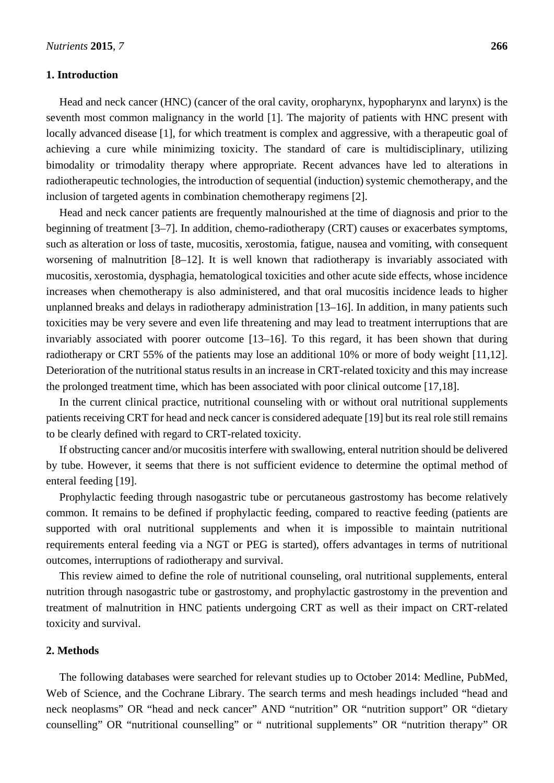#### **1. Introduction**

Head and neck cancer (HNC) (cancer of the oral cavity, oropharynx, hypopharynx and larynx) is the seventh most common malignancy in the world [1]. The majority of patients with HNC present with locally advanced disease [1], for which treatment is complex and aggressive, with a therapeutic goal of achieving a cure while minimizing toxicity. The standard of care is multidisciplinary, utilizing bimodality or trimodality therapy where appropriate. Recent advances have led to alterations in radiotherapeutic technologies, the introduction of sequential (induction) systemic chemotherapy, and the inclusion of targeted agents in combination chemotherapy regimens [2].

Head and neck cancer patients are frequently malnourished at the time of diagnosis and prior to the beginning of treatment [3–7]. In addition, chemo-radiotherapy (CRT) causes or exacerbates symptoms, such as alteration or loss of taste, mucositis, xerostomia, fatigue, nausea and vomiting, with consequent worsening of malnutrition [8–12]. It is well known that radiotherapy is invariably associated with mucositis, xerostomia, dysphagia, hematological toxicities and other acute side effects, whose incidence increases when chemotherapy is also administered, and that oral mucositis incidence leads to higher unplanned breaks and delays in radiotherapy administration [13–16]. In addition, in many patients such toxicities may be very severe and even life threatening and may lead to treatment interruptions that are invariably associated with poorer outcome [13–16]. To this regard, it has been shown that during radiotherapy or CRT 55% of the patients may lose an additional 10% or more of body weight [11,12]. Deterioration of the nutritional status results in an increase in CRT-related toxicity and this may increase the prolonged treatment time, which has been associated with poor clinical outcome [17,18].

In the current clinical practice, nutritional counseling with or without oral nutritional supplements patients receiving CRT for head and neck cancer is considered adequate [19] but its real role still remains to be clearly defined with regard to CRT-related toxicity.

If obstructing cancer and/or mucositis interfere with swallowing, enteral nutrition should be delivered by tube. However, it seems that there is not sufficient evidence to determine the optimal method of enteral feeding [19].

Prophylactic feeding through nasogastric tube or percutaneous gastrostomy has become relatively common. It remains to be defined if prophylactic feeding, compared to reactive feeding (patients are supported with oral nutritional supplements and when it is impossible to maintain nutritional requirements enteral feeding via a NGT or PEG is started), offers advantages in terms of nutritional outcomes, interruptions of radiotherapy and survival.

This review aimed to define the role of nutritional counseling, oral nutritional supplements, enteral nutrition through nasogastric tube or gastrostomy, and prophylactic gastrostomy in the prevention and treatment of malnutrition in HNC patients undergoing CRT as well as their impact on CRT-related toxicity and survival.

#### **2. Methods**

The following databases were searched for relevant studies up to October 2014: Medline, PubMed, Web of Science, and the Cochrane Library. The search terms and mesh headings included "head and neck neoplasms" OR "head and neck cancer" AND "nutrition" OR "nutrition support" OR "dietary counselling" OR "nutritional counselling" or " nutritional supplements" OR "nutrition therapy" OR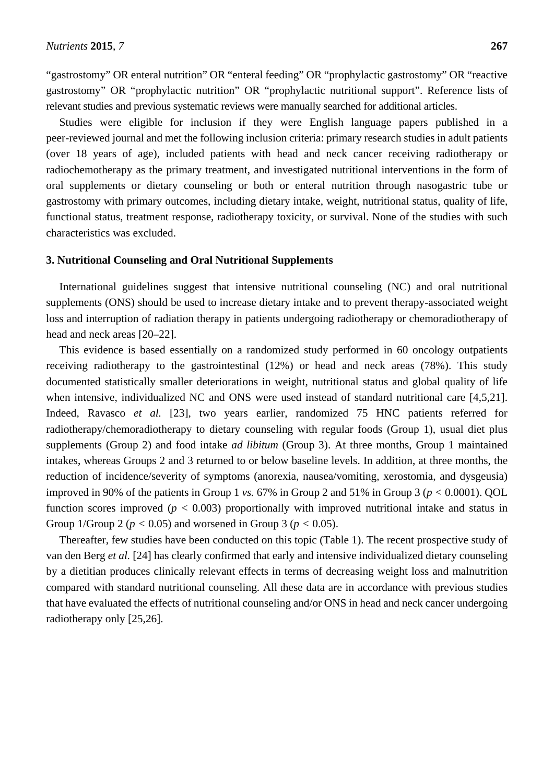"gastrostomy" OR enteral nutrition" OR "enteral feeding" OR "prophylactic gastrostomy" OR "reactive gastrostomy" OR "prophylactic nutrition" OR "prophylactic nutritional support". Reference lists of relevant studies and previous systematic reviews were manually searched for additional articles.

Studies were eligible for inclusion if they were English language papers published in a peer-reviewed journal and met the following inclusion criteria: primary research studies in adult patients (over 18 years of age), included patients with head and neck cancer receiving radiotherapy or radiochemotherapy as the primary treatment, and investigated nutritional interventions in the form of oral supplements or dietary counseling or both or enteral nutrition through nasogastric tube or gastrostomy with primary outcomes, including dietary intake, weight, nutritional status, quality of life, functional status, treatment response, radiotherapy toxicity, or survival. None of the studies with such characteristics was excluded.

#### **3. Nutritional Counseling and Oral Nutritional Supplements**

International guidelines suggest that intensive nutritional counseling (NC) and oral nutritional supplements (ONS) should be used to increase dietary intake and to prevent therapy-associated weight loss and interruption of radiation therapy in patients undergoing radiotherapy or chemoradiotherapy of head and neck areas [20–22].

This evidence is based essentially on a randomized study performed in 60 oncology outpatients receiving radiotherapy to the gastrointestinal (12%) or head and neck areas (78%). This study documented statistically smaller deteriorations in weight, nutritional status and global quality of life when intensive, individualized NC and ONS were used instead of standard nutritional care [4,5,21]. Indeed, Ravasco *et al.* [23], two years earlier, randomized 75 HNC patients referred for radiotherapy/chemoradiotherapy to dietary counseling with regular foods (Group 1), usual diet plus supplements (Group 2) and food intake *ad libitum* (Group 3). At three months, Group 1 maintained intakes, whereas Groups 2 and 3 returned to or below baseline levels. In addition, at three months, the reduction of incidence/severity of symptoms (anorexia, nausea/vomiting, xerostomia, and dysgeusia) improved in 90% of the patients in Group 1 *vs.* 67% in Group 2 and 51% in Group 3 (*p <* 0.0001). QOL function scores improved ( $p < 0.003$ ) proportionally with improved nutritional intake and status in Group 1/Group 2 ( $p < 0.05$ ) and worsened in Group 3 ( $p < 0.05$ ).

Thereafter, few studies have been conducted on this topic (Table 1). The recent prospective study of van den Berg *et al.* [24] has clearly confirmed that early and intensive individualized dietary counseling by a dietitian produces clinically relevant effects in terms of decreasing weight loss and malnutrition compared with standard nutritional counseling. All these data are in accordance with previous studies that have evaluated the effects of nutritional counseling and/or ONS in head and neck cancer undergoing radiotherapy only [25,26].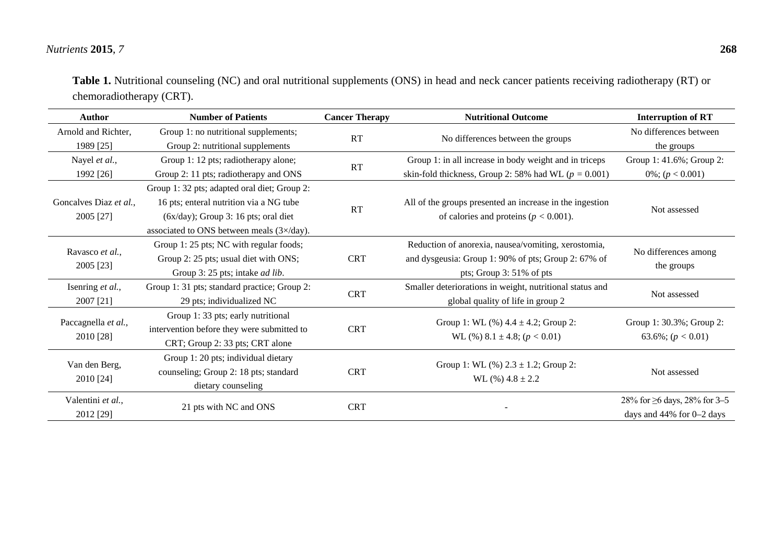**Table 1.** Nutritional counseling (NC) and oral nutritional supplements (ONS) in head and neck cancer patients receiving radiotherapy (RT) or chemoradiotherapy (CRT).

| Author                              | <b>Number of Patients</b>                                                                                                                                                               | <b>Cancer Therapy</b> | <b>Nutritional Outcome</b>                                                                                                             | <b>Interruption of RT</b>                                          |
|-------------------------------------|-----------------------------------------------------------------------------------------------------------------------------------------------------------------------------------------|-----------------------|----------------------------------------------------------------------------------------------------------------------------------------|--------------------------------------------------------------------|
| Arnold and Richter,<br>1989 [25]    | Group 1: no nutritional supplements;<br>Group 2: nutritional supplements                                                                                                                | RT                    | No differences between the groups                                                                                                      | No differences between<br>the groups                               |
| Nayel et al.,<br>1992 [26]          | Group 1: 12 pts; radiotherapy alone;<br>Group 2: 11 pts; radiotherapy and ONS                                                                                                           | <b>RT</b>             | Group 1: in all increase in body weight and in triceps<br>skin-fold thickness, Group 2: 58% had WL ( $p = 0.001$ )                     | Group 1: 41.6%; Group 2:<br>0%; $(p < 0.001)$                      |
| Goncalves Diaz et al.,<br>2005 [27] | Group 1: 32 pts; adapted oral diet; Group 2:<br>16 pts; enteral nutrition via a NG tube<br>$(6x/day)$ ; Group 3: 16 pts; oral diet<br>associated to ONS between meals $(3\times$ /day). | <b>RT</b>             | All of the groups presented an increase in the ingestion<br>of calories and proteins ( $p < 0.001$ ).                                  | Not assessed                                                       |
| Ravasco et al.,<br>2005 [23]        | Group 1: 25 pts; NC with regular foods;<br>Group 2: 25 pts; usual diet with ONS;<br>Group 3: 25 pts; intake <i>ad lib</i> .                                                             | <b>CRT</b>            | Reduction of anorexia, nausea/vomiting, xerostomia,<br>and dysgeusia: Group 1: 90% of pts; Group 2: 67% of<br>pts; Group 3: 51% of pts | No differences among<br>the groups                                 |
| Isenring et al.,<br>2007 [21]       | Group 1: 31 pts; standard practice; Group 2:<br>29 pts; individualized NC                                                                                                               | <b>CRT</b>            | Smaller deteriorations in weight, nutritional status and<br>global quality of life in group 2                                          | Not assessed                                                       |
| Paccagnella et al.,<br>2010 [28]    | Group 1:33 pts; early nutritional<br>intervention before they were submitted to<br>CRT; Group 2: 33 pts; CRT alone                                                                      | <b>CRT</b>            | Group 1: WL $(\%)$ 4.4 $\pm$ 4.2; Group 2:<br>WL (%) $8.1 \pm 4.8$ ; ( $p < 0.01$ )                                                    | Group 1: 30.3%; Group 2:<br>63.6%; $(p < 0.01)$                    |
| Van den Berg,<br>2010 [24]          | Group 1: 20 pts; individual dietary<br>counseling; Group 2: 18 pts; standard<br>dietary counseling                                                                                      | <b>CRT</b>            | Group 1: WL $(\%)$ 2.3 $\pm$ 1.2; Group 2:<br>WL $(\% )$ 4.8 $\pm$ 2.2                                                                 | Not assessed                                                       |
| Valentini et al.,<br>2012 [29]      | 21 pts with NC and ONS                                                                                                                                                                  | <b>CRT</b>            |                                                                                                                                        | 28% for $\geq 6$ days, 28% for 3–5<br>days and $44\%$ for 0-2 days |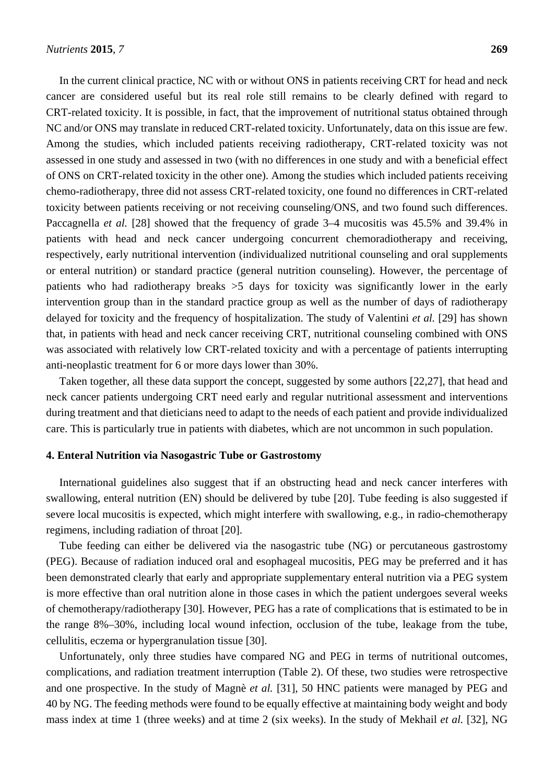In the current clinical practice, NC with or without ONS in patients receiving CRT for head and neck cancer are considered useful but its real role still remains to be clearly defined with regard to CRT-related toxicity. It is possible, in fact, that the improvement of nutritional status obtained through NC and/or ONS may translate in reduced CRT-related toxicity. Unfortunately, data on this issue are few. Among the studies, which included patients receiving radiotherapy, CRT-related toxicity was not assessed in one study and assessed in two (with no differences in one study and with a beneficial effect of ONS on CRT-related toxicity in the other one). Among the studies which included patients receiving chemo-radiotherapy, three did not assess CRT-related toxicity, one found no differences in CRT-related toxicity between patients receiving or not receiving counseling/ONS, and two found such differences. Paccagnella *et al.* [28] showed that the frequency of grade 3–4 mucositis was 45.5% and 39.4% in patients with head and neck cancer undergoing concurrent chemoradiotherapy and receiving, respectively, early nutritional intervention (individualized nutritional counseling and oral supplements or enteral nutrition) or standard practice (general nutrition counseling). However, the percentage of patients who had radiotherapy breaks >5 days for toxicity was significantly lower in the early intervention group than in the standard practice group as well as the number of days of radiotherapy delayed for toxicity and the frequency of hospitalization. The study of Valentini *et al.* [29] has shown that, in patients with head and neck cancer receiving CRT, nutritional counseling combined with ONS was associated with relatively low CRT-related toxicity and with a percentage of patients interrupting anti-neoplastic treatment for 6 or more days lower than 30%.

Taken together, all these data support the concept, suggested by some authors [22,27], that head and neck cancer patients undergoing CRT need early and regular nutritional assessment and interventions during treatment and that dieticians need to adapt to the needs of each patient and provide individualized care. This is particularly true in patients with diabetes, which are not uncommon in such population.

#### **4. Enteral Nutrition via Nasogastric Tube or Gastrostomy**

International guidelines also suggest that if an obstructing head and neck cancer interferes with swallowing, enteral nutrition (EN) should be delivered by tube [20]. Tube feeding is also suggested if severe local mucositis is expected, which might interfere with swallowing, e.g., in radio-chemotherapy regimens, including radiation of throat [20].

Tube feeding can either be delivered via the nasogastric tube (NG) or percutaneous gastrostomy (PEG). Because of radiation induced oral and esophageal mucositis, PEG may be preferred and it has been demonstrated clearly that early and appropriate supplementary enteral nutrition via a PEG system is more effective than oral nutrition alone in those cases in which the patient undergoes several weeks of chemotherapy/radiotherapy [30]. However, PEG has a rate of complications that is estimated to be in the range 8%–30%, including local wound infection, occlusion of the tube, leakage from the tube, cellulitis, eczema or hypergranulation tissue [30].

Unfortunately, only three studies have compared NG and PEG in terms of nutritional outcomes, complications, and radiation treatment interruption (Table 2). Of these, two studies were retrospective and one prospective. In the study of Magnè *et al.* [31], 50 HNC patients were managed by PEG and 40 by NG. The feeding methods were found to be equally effective at maintaining body weight and body mass index at time 1 (three weeks) and at time 2 (six weeks). In the study of Mekhail *et al.* [32], NG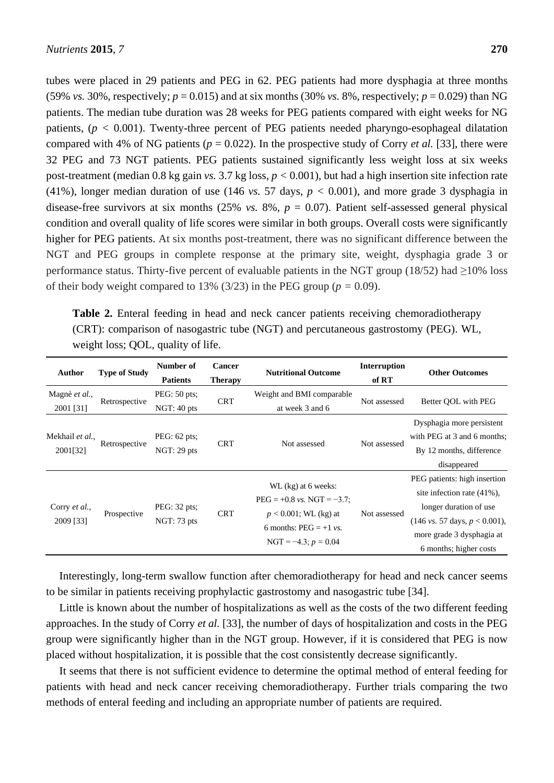tubes were placed in 29 patients and PEG in 62. PEG patients had more dysphagia at three months (59% *vs.* 30%, respectively;  $p = 0.015$ ) and at six months (30% *vs.* 8%, respectively;  $p = 0.029$ ) than NG patients. The median tube duration was 28 weeks for PEG patients compared with eight weeks for NG patients,  $(p < 0.001)$ . Twenty-three percent of PEG patients needed pharyngo-esophageal dilatation compared with 4% of NG patients ( $p = 0.022$ ). In the prospective study of Corry *et al.* [33], there were 32 PEG and 73 NGT patients. PEG patients sustained significantly less weight loss at six weeks post-treatment (median 0.8 kg gain *vs.* 3.7 kg loss, *p <* 0.001), but had a high insertion site infection rate (41%), longer median duration of use (146 *vs.* 57 days,  $p < 0.001$ ), and more grade 3 dysphagia in disease-free survivors at six months (25% *vs.* 8%, *p* = 0.07). Patient self-assessed general physical condition and overall quality of life scores were similar in both groups. Overall costs were significantly higher for PEG patients. At six months post-treatment, there was no significant difference between the NGT and PEG groups in complete response at the primary site, weight, dysphagia grade 3 or performance status. Thirty-five percent of evaluable patients in the NGT group (18/52) had  $\geq$ 10% loss of their body weight compared to 13% (3/23) in the PEG group ( $p = 0.09$ ).

**Table 2.** Enteral feeding in head and neck cancer patients receiving chemoradiotherapy (CRT): comparison of nasogastric tube (NGT) and percutaneous gastrostomy (PEG). WL, weight loss; QOL, quality of life.

| Author                      | <b>Type of Study</b> | Number of<br><b>Patients</b>  | <b>Cancer</b><br><b>Therapy</b> | <b>Nutritional Outcome</b>                                                                                                                         | Interruption<br>of RT | <b>Other Outcomes</b>                                                                                                                                                                                |
|-----------------------------|----------------------|-------------------------------|---------------------------------|----------------------------------------------------------------------------------------------------------------------------------------------------|-----------------------|------------------------------------------------------------------------------------------------------------------------------------------------------------------------------------------------------|
| Magnè et al.,<br>2001 [31]  | Retrospective        | $PEG: 50$ pts;<br>NGT: 40 pts | <b>CRT</b>                      | Weight and BMI comparable<br>at week 3 and 6                                                                                                       | Not assessed          | Better OOL with PEG                                                                                                                                                                                  |
| Mekhail et al.,<br>2001[32] | Retrospective        | PEG: 62 pts;<br>NGT: 29 pts   | <b>CRT</b>                      | Not assessed                                                                                                                                       | Not assessed          | Dysphagia more persistent<br>with PEG at 3 and 6 months;<br>By 12 months, difference<br>disappeared                                                                                                  |
| Corry et al.,<br>2009 [33]  | Prospective          | PEG: 32 pts;<br>$NGT: 73$ pts | <b>CRT</b>                      | WL (kg) at 6 weeks:<br>$PEG = +0.8$ vs. $NGT = -3.7$ ;<br>$p < 0.001$ ; WL (kg) at<br>6 months: $PEG = +1$ <i>vs.</i><br>NGT = $-4.3$ ; $p = 0.04$ | Not assessed          | PEG patients: high insertion<br>site infection rate $(41\%)$ .<br>longer duration of use.<br>$(146 \text{ vs. } 57 \text{ days}, p < 0.001),$<br>more grade 3 dysphagia at<br>6 months; higher costs |

Interestingly, long-term swallow function after chemoradiotherapy for head and neck cancer seems to be similar in patients receiving prophylactic gastrostomy and nasogastric tube [34].

Little is known about the number of hospitalizations as well as the costs of the two different feeding approaches. In the study of Corry *et al.* [33], the number of days of hospitalization and costs in the PEG group were significantly higher than in the NGT group. However, if it is considered that PEG is now placed without hospitalization, it is possible that the cost consistently decrease significantly.

It seems that there is not sufficient evidence to determine the optimal method of enteral feeding for patients with head and neck cancer receiving chemoradiotherapy. Further trials comparing the two methods of enteral feeding and including an appropriate number of patients are required.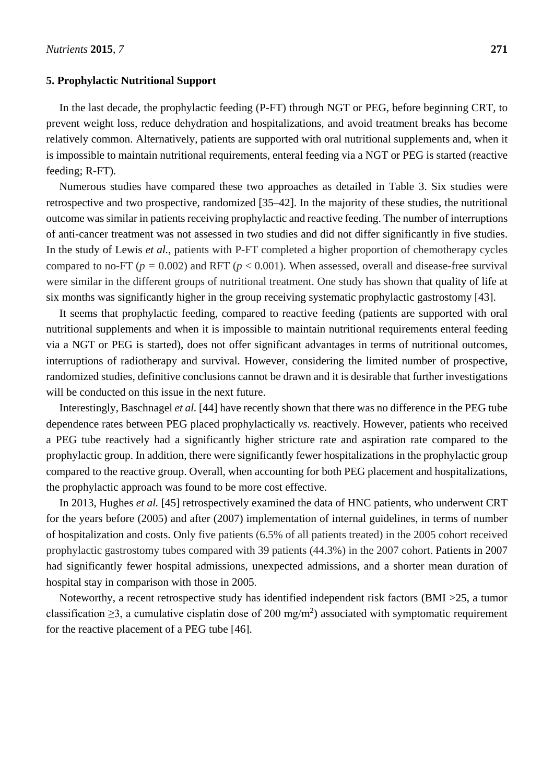#### **5. Prophylactic Nutritional Support**

In the last decade, the prophylactic feeding (P-FT) through NGT or PEG, before beginning CRT, to prevent weight loss, reduce dehydration and hospitalizations, and avoid treatment breaks has become relatively common. Alternatively, patients are supported with oral nutritional supplements and, when it is impossible to maintain nutritional requirements, enteral feeding via a NGT or PEG is started (reactive feeding; R-FT).

Numerous studies have compared these two approaches as detailed in Table 3. Six studies were retrospective and two prospective, randomized [35–42]. In the majority of these studies, the nutritional outcome was similar in patients receiving prophylactic and reactive feeding. The number of interruptions of anti-cancer treatment was not assessed in two studies and did not differ significantly in five studies. In the study of Lewis *et al.*, patients with P-FT completed a higher proportion of chemotherapy cycles compared to no-FT ( $p = 0.002$ ) and RFT ( $p < 0.001$ ). When assessed, overall and disease-free survival were similar in the different groups of nutritional treatment. One study has shown that quality of life at six months was significantly higher in the group receiving systematic prophylactic gastrostomy [43].

It seems that prophylactic feeding, compared to reactive feeding (patients are supported with oral nutritional supplements and when it is impossible to maintain nutritional requirements enteral feeding via a NGT or PEG is started), does not offer significant advantages in terms of nutritional outcomes, interruptions of radiotherapy and survival. However, considering the limited number of prospective, randomized studies, definitive conclusions cannot be drawn and it is desirable that further investigations will be conducted on this issue in the next future.

Interestingly, Baschnagel *et al.* [44] have recently shown that there was no difference in the PEG tube dependence rates between PEG placed prophylactically *vs.* reactively. However, patients who received a PEG tube reactively had a significantly higher stricture rate and aspiration rate compared to the prophylactic group. In addition, there were significantly fewer hospitalizations in the prophylactic group compared to the reactive group. Overall, when accounting for both PEG placement and hospitalizations, the prophylactic approach was found to be more cost effective.

In 2013, Hughes *et al.* [45] retrospectively examined the data of HNC patients, who underwent CRT for the years before (2005) and after (2007) implementation of internal guidelines, in terms of number of hospitalization and costs. Only five patients (6.5% of all patients treated) in the 2005 cohort received prophylactic gastrostomy tubes compared with 39 patients (44.3%) in the 2007 cohort. Patients in 2007 had significantly fewer hospital admissions, unexpected admissions, and a shorter mean duration of hospital stay in comparison with those in 2005.

Noteworthy, a recent retrospective study has identified independent risk factors (BMI >25, a tumor classification  $\geq$ 3, a cumulative cisplatin dose of 200 mg/m<sup>2</sup>) associated with symptomatic requirement for the reactive placement of a PEG tube [46].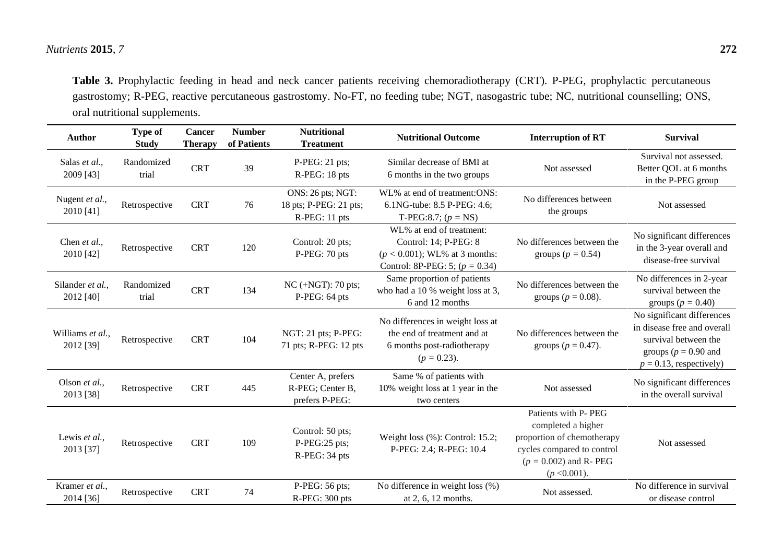# *Nutrients* **2015**, *7* **272**

**Table 3.** Prophylactic feeding in head and neck cancer patients receiving chemoradiotherapy (CRT). P-PEG, prophylactic percutaneous gastrostomy; R-PEG, reactive percutaneous gastrostomy. No-FT, no feeding tube; NGT, nasogastric tube; NC, nutritional counselling; ONS, oral nutritional supplements.

| <b>Author</b>                 | <b>Type of</b><br><b>Study</b> | <b>Cancer</b><br><b>Therapy</b> | <b>Number</b><br>of Patients | <b>Nutritional</b><br><b>Treatment</b>                       | <b>Nutritional Outcome</b>                                                                                                | <b>Interruption of RT</b>                                                                                                                            | <b>Survival</b>                                                                                                                            |
|-------------------------------|--------------------------------|---------------------------------|------------------------------|--------------------------------------------------------------|---------------------------------------------------------------------------------------------------------------------------|------------------------------------------------------------------------------------------------------------------------------------------------------|--------------------------------------------------------------------------------------------------------------------------------------------|
| Salas et al.,<br>2009 [43]    | Randomized<br>trial            | <b>CRT</b>                      | 39                           | P-PEG: 21 pts;<br>R-PEG: 18 pts                              | Similar decrease of BMI at<br>6 months in the two groups                                                                  | Not assessed                                                                                                                                         | Survival not assessed.<br>Better QOL at 6 months<br>in the P-PEG group                                                                     |
| Nugent et al.,<br>2010 [41]   | Retrospective                  | <b>CRT</b>                      | 76                           | ONS: 26 pts; NGT:<br>18 pts; P-PEG: 21 pts;<br>R-PEG: 11 pts | WL% at end of treatment:ONS:<br>6.1NG-tube: 8.5 P-PEG: 4.6;<br>T-PEG:8.7; $(p = NS)$                                      | No differences between<br>the groups                                                                                                                 | Not assessed                                                                                                                               |
| Chen et al.,<br>2010 [42]     | Retrospective                  | <b>CRT</b>                      | 120                          | Control: 20 pts;<br>P-PEG: 70 pts                            | WL% at end of treatment:<br>Control: 14; P-PEG: 8<br>$(p < 0.001)$ ; WL% at 3 months:<br>Control: 8P-PEG: 5; $(p = 0.34)$ | No differences between the<br>groups ( $p = 0.54$ )                                                                                                  | No significant differences<br>in the 3-year overall and<br>disease-free survival                                                           |
| Silander et al.,<br>2012 [40] | Randomized<br>trial            | <b>CRT</b>                      | 134                          | NC (+NGT): 70 pts;<br>P-PEG: 64 pts                          | Same proportion of patients<br>who had a 10 % weight loss at 3,<br>6 and 12 months                                        | No differences between the<br>groups ( $p = 0.08$ ).                                                                                                 | No differences in 2-year<br>survival between the<br>groups ( $p = 0.40$ )                                                                  |
| Williams et al.,<br>2012 [39] | Retrospective                  | <b>CRT</b>                      | 104                          | NGT: 21 pts; P-PEG:<br>71 pts; R-PEG: 12 pts                 | No differences in weight loss at<br>the end of treatment and at<br>6 months post-radiotherapy<br>$(p = 0.23)$ .           | No differences between the<br>groups ( $p = 0.47$ ).                                                                                                 | No significant differences<br>in disease free and overall<br>survival between the<br>groups ( $p = 0.90$ and<br>$p = 0.13$ , respectively) |
| Olson et al.,<br>2013 [38]    | Retrospective                  | <b>CRT</b>                      | 445                          | Center A, prefers<br>R-PEG; Center B,<br>prefers P-PEG:      | Same % of patients with<br>10% weight loss at 1 year in the<br>two centers                                                | Not assessed                                                                                                                                         | No significant differences<br>in the overall survival                                                                                      |
| Lewis et al.,<br>2013 [37]    | Retrospective                  | <b>CRT</b>                      | 109                          | Control: 50 pts;<br>P-PEG:25 pts;<br>R-PEG: 34 pts           | Weight loss $(\%)$ : Control: 15.2;<br>P-PEG: 2.4; R-PEG: 10.4                                                            | Patients with P- PEG<br>completed a higher<br>proportion of chemotherapy<br>cycles compared to control<br>$(p = 0.002)$ and R-PEG<br>$(p < 0.001)$ . | Not assessed                                                                                                                               |
| Kramer et al.,<br>2014 [36]   | Retrospective                  | <b>CRT</b>                      | 74                           | P-PEG: 56 pts;<br>R-PEG: 300 pts                             | No difference in weight loss (%)<br>at 2, 6, 12 months.                                                                   | Not assessed.                                                                                                                                        | No difference in survival<br>or disease control                                                                                            |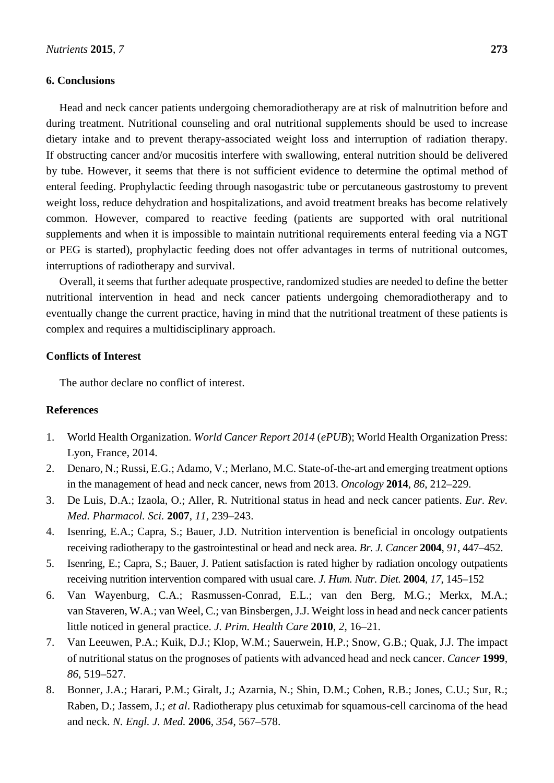#### **6. Conclusions**

Head and neck cancer patients undergoing chemoradiotherapy are at risk of malnutrition before and during treatment. Nutritional counseling and oral nutritional supplements should be used to increase dietary intake and to prevent therapy-associated weight loss and interruption of radiation therapy. If obstructing cancer and/or mucositis interfere with swallowing, enteral nutrition should be delivered by tube. However, it seems that there is not sufficient evidence to determine the optimal method of enteral feeding. Prophylactic feeding through nasogastric tube or percutaneous gastrostomy to prevent weight loss, reduce dehydration and hospitalizations, and avoid treatment breaks has become relatively common. However, compared to reactive feeding (patients are supported with oral nutritional supplements and when it is impossible to maintain nutritional requirements enteral feeding via a NGT or PEG is started), prophylactic feeding does not offer advantages in terms of nutritional outcomes, interruptions of radiotherapy and survival.

Overall, it seems that further adequate prospective, randomized studies are needed to define the better nutritional intervention in head and neck cancer patients undergoing chemoradiotherapy and to eventually change the current practice, having in mind that the nutritional treatment of these patients is complex and requires a multidisciplinary approach.

### **Conflicts of Interest**

The author declare no conflict of interest.

#### **References**

- 1. World Health Organization. *World Cancer Report 2014* (*ePUB*); World Health Organization Press: Lyon, France, 2014.
- 2. Denaro, N.; Russi, E.G.; Adamo, V.; Merlano, M.C. State-of-the-art and emerging treatment options in the management of head and neck cancer, news from 2013. *Oncology* **2014**, *86*, 212–229.
- 3. De Luis, D.A.; Izaola, O.; Aller, R. Nutritional status in head and neck cancer patients. *Eur. Rev. Med. Pharmacol. Sci.* **2007**, *11*, 239–243.
- 4. Isenring, E.A.; Capra, S.; Bauer, J.D. Nutrition intervention is beneficial in oncology outpatients receiving radiotherapy to the gastrointestinal or head and neck area. *Br. J. Cancer* **2004**, *91*, 447–452.
- 5. Isenring, E.; Capra, S.; Bauer, J. Patient satisfaction is rated higher by radiation oncology outpatients receiving nutrition intervention compared with usual care. *J. Hum. Nutr. Diet.* **2004**, *17*, 145–152
- 6. Van Wayenburg, C.A.; Rasmussen-Conrad, E.L.; van den Berg, M.G.; Merkx, M.A.; van Staveren, W.A.; van Weel, C.; van Binsbergen, J.J. Weight loss in head and neck cancer patients little noticed in general practice. *J. Prim. Health Care* **2010**, *2*, 16–21.
- 7. Van Leeuwen, P.A.; Kuik, D.J.; Klop, W.M.; Sauerwein, H.P.; Snow, G.B.; Quak, J.J. The impact of nutritional status on the prognoses of patients with advanced head and neck cancer. *Cancer* **1999**, *86*, 519–527.
- 8. Bonner, J.A.; Harari, P.M.; Giralt, J.; Azarnia, N.; Shin, D.M.; Cohen, R.B.; Jones, C.U.; Sur, R.; Raben, D.; Jassem, J.; *et al*. Radiotherapy plus cetuximab for squamous-cell carcinoma of the head and neck. *N. Engl. J. Med.* **2006**, *354*, 567–578.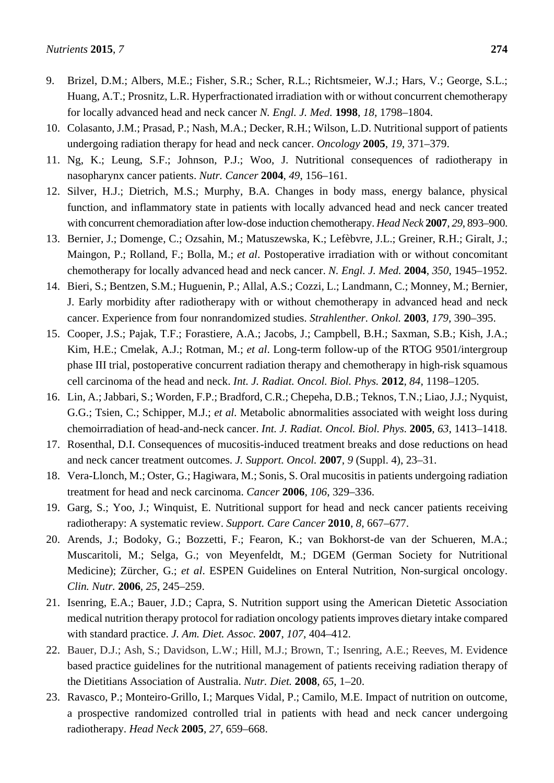- 9. Brizel, D.M.; Albers, M.E.; Fisher, S.R.; Scher, R.L.; Richtsmeier, W.J.; Hars, V.; George, S.L.; Huang, A.T.; Prosnitz, L.R. Hyperfractionated irradiation with or without concurrent chemotherapy for locally advanced head and neck cancer *N. Engl. J. Med.* **1998**, *18*, 1798–1804.
- 10. Colasanto, J.M.; Prasad, P.; Nash, M.A.; Decker, R.H.; Wilson, L.D. Nutritional support of patients undergoing radiation therapy for head and neck cancer. *Oncology* **2005**, *19*, 371–379.
- 11. Ng, K.; Leung, S.F.; Johnson, P.J.; Woo, J. Nutritional consequences of radiotherapy in nasopharynx cancer patients. *Nutr. Cancer* **2004**, *49*, 156–161.
- 12. Silver, H.J.; Dietrich, M.S.; Murphy, B.A. Changes in body mass, energy balance, physical function, and inflammatory state in patients with locally advanced head and neck cancer treated with concurrent chemoradiation after low-dose induction chemotherapy. *Head Neck* **2007**, *29*, 893–900.
- 13. Bernier, J.; Domenge, C.; Ozsahin, M.; Matuszewska, K.; Lefèbvre, J.L.; Greiner, R.H.; Giralt, J.; Maingon, P.; Rolland, F.; Bolla, M.; *et al*. Postoperative irradiation with or without concomitant chemotherapy for locally advanced head and neck cancer. *N. Engl. J. Med.* **2004**, *350*, 1945–1952.
- 14. Bieri, S.; Bentzen, S.M.; Huguenin, P.; Allal, A.S.; Cozzi, L.; Landmann, C.; Monney, M.; Bernier, J. Early morbidity after radiotherapy with or without chemotherapy in advanced head and neck cancer. Experience from four nonrandomized studies. *Strahlenther. Onkol.* **2003**, *179*, 390–395.
- 15. Cooper, J.S.; Pajak, T.F.; Forastiere, A.A.; Jacobs, J.; Campbell, B.H.; Saxman, S.B.; Kish, J.A.; Kim, H.E.; Cmelak, A.J.; Rotman, M.; *et al*. Long-term follow-up of the RTOG 9501/intergroup phase III trial, postoperative concurrent radiation therapy and chemotherapy in high-risk squamous cell carcinoma of the head and neck. *Int. J. Radiat. Oncol. Biol. Phys.* **2012**, *84*, 1198–1205.
- 16. Lin, A.; Jabbari, S.; Worden, F.P.; Bradford, C.R.; Chepeha, D.B.; Teknos, T.N.; Liao, J.J.; Nyquist, G.G.; Tsien, C.; Schipper, M.J.; *et al*. Metabolic abnormalities associated with weight loss during chemoirradiation of head-and-neck cancer. *Int. J. Radiat. Oncol. Biol. Phys.* **2005**, *63*, 1413–1418.
- 17. Rosenthal, D.I. Consequences of mucositis-induced treatment breaks and dose reductions on head and neck cancer treatment outcomes. *J. Support. Oncol.* **2007**, *9* (Suppl. 4), 23–31.
- 18. Vera-Llonch, M.; Oster, G.; Hagiwara, M.; Sonis, S. Oral mucositis in patients undergoing radiation treatment for head and neck carcinoma. *Cancer* **2006**, *106*, 329–336.
- 19. Garg, S.; Yoo, J.; Winquist, E. Nutritional support for head and neck cancer patients receiving radiotherapy: A systematic review. *Support. Care Cancer* **2010**, *8*, 667–677.
- 20. Arends, J.; Bodoky, G.; Bozzetti, F.; Fearon, K.; van Bokhorst-de van der Schueren, M.A.; Muscaritoli, M.; Selga, G.; von Meyenfeldt, M.; DGEM (German Society for Nutritional Medicine); Zürcher, G.; *et al*. ESPEN Guidelines on Enteral Nutrition, Non-surgical oncology. *Clin. Nutr.* **2006**, *25*, 245–259.
- 21. Isenring, E.A.; Bauer, J.D.; Capra, S. Nutrition support using the American Dietetic Association medical nutrition therapy protocol for radiation oncology patients improves dietary intake compared with standard practice. *J. Am. Diet. Assoc.* **2007**, *107*, 404–412.
- 22. Bauer, D.J.; Ash, S.; Davidson, L.W.; Hill, M.J.; Brown, T.; Isenring, A.E.; Reeves, M. Evidence based practice guidelines for the nutritional management of patients receiving radiation therapy of the Dietitians Association of Australia. *Nutr. Diet.* **2008**, *65*, 1–20.
- 23. Ravasco, P.; Monteiro-Grillo, I.; Marques Vidal, P.; Camilo, M.E. Impact of nutrition on outcome, a prospective randomized controlled trial in patients with head and neck cancer undergoing radiotherapy. *Head Neck* **2005**, *27*, 659–668.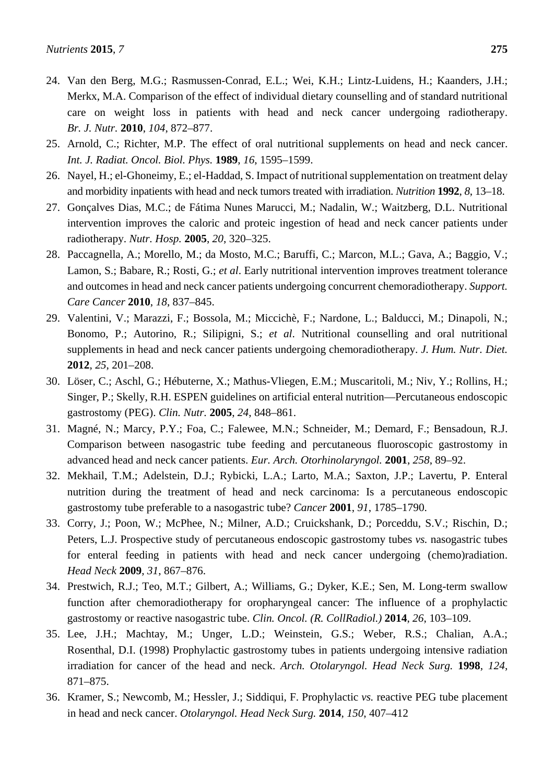- 24. Van den Berg, M.G.; Rasmussen-Conrad, E.L.; Wei, K.H.; Lintz-Luidens, H.; Kaanders, J.H.; Merkx, M.A. Comparison of the effect of individual dietary counselling and of standard nutritional care on weight loss in patients with head and neck cancer undergoing radiotherapy. *Br. J. Nutr.* **2010**, *104*, 872–877.
- 25. Arnold, C.; Richter, M.P. The effect of oral nutritional supplements on head and neck cancer. *Int. J. Radiat. Oncol. Biol. Phys.* **1989**, *16*, 1595–1599.
- 26. Nayel, H.; el-Ghoneimy, E.; el-Haddad, S. Impact of nutritional supplementation on treatment delay and morbidity inpatients with head and neck tumors treated with irradiation. *Nutrition* **1992**, *8*, 13–18.
- 27. Gonçalves Dias, M.C.; de Fátima Nunes Marucci, M.; Nadalin, W.; Waitzberg, D.L. Nutritional intervention improves the caloric and proteic ingestion of head and neck cancer patients under radiotherapy. *Nutr. Hosp.* **2005**, *20*, 320–325.
- 28. Paccagnella, A.; Morello, M.; da Mosto, M.C.; Baruffi, C.; Marcon, M.L.; Gava, A.; Baggio, V.; Lamon, S.; Babare, R.; Rosti, G.; *et al*. [Early nutritional intervention improves treatment tolerance](http://www.ncbi.nlm.nih.gov/pubmed/19727846)  [and outcomes in head and neck cancer patients undergoing concurrent chemoradiotherapy.](http://www.ncbi.nlm.nih.gov/pubmed/19727846) *Support. Care Cancer* **2010**, *18*, 837–845.
- 29. Valentini, V.; Marazzi, F.; Bossola, M.; Miccichè, F.; Nardone, L.; Balducci, M.; Dinapoli, N.; Bonomo, P.; Autorino, R.; Silipigni, S.; *et al*. Nutritional counselling and oral nutritional supplements in head and neck cancer patients undergoing chemoradiotherapy. *J. Hum. Nutr. Diet.* **2012**, *25*, 201–208.
- 30. Löser, C.; Aschl, G.; Hébuterne, X.; Mathus-Vliegen, E.M.; Muscaritoli, M.; Niv, Y.; Rollins, H.; Singer, P.; Skelly, R.H. ESPEN guidelines on artificial enteral nutrition—Percutaneous endoscopic gastrostomy (PEG). *Clin. Nutr.* **2005**, *24*, 848–861.
- 31. Magné, N.; Marcy, P.Y.; Foa, C.; Falewee, M.N.; Schneider, M.; Demard, F.; Bensadoun, R.J. Comparison between nasogastric tube feeding and percutaneous fluoroscopic gastrostomy in advanced head and neck cancer patients. *Eur. Arch. Otorhinolaryngol.* **2001**, *258*, 89–92.
- 32. Mekhail, T.M.; Adelstein, D.J.; Rybicki, L.A.; Larto, M.A.; Saxton, J.P.; Lavertu, P. Enteral nutrition during the treatment of head and neck carcinoma: Is a percutaneous endoscopic gastrostomy tube preferable to a nasogastric tube? *Cancer* **2001**, *91*, 1785–1790.
- 33. Corry, J.; Poon, W.; McPhee, N.; Milner, A.D.; Cruickshank, D.; Porceddu, S.V.; Rischin, D.; Peters, L.J. Prospective study of percutaneous endoscopic gastrostomy tubes *vs.* nasogastric tubes for enteral feeding in patients with head and neck cancer undergoing (chemo)radiation. *Head Neck* **2009**, *31*, 867–876.
- 34. Prestwich, R.J.; Teo, M.T.; Gilbert, A.; Williams, G.; Dyker, K.E.; Sen, M. Long-term swallow function after chemoradiotherapy for oropharyngeal cancer: The influence of a prophylactic gastrostomy or reactive nasogastric tube. *Clin. Oncol. (R. CollRadiol.)* **2014**, *26*, 103–109.
- 35. Lee, J.H.; Machtay, M.; Unger, L.D.; Weinstein, G.S.; Weber, R.S.; Chalian, A.A.; Rosenthal, D.I. (1998) Prophylactic gastrostomy tubes in patients undergoing intensive radiation irradiation for cancer of the head and neck. *Arch. Otolaryngol. Head Neck Surg.* **1998**, *124*, 871–875.
- 36. Kramer, S.; Newcomb, M.; Hessler, J.; Siddiqui, F. Prophylactic *vs.* reactive PEG tube placement in head and neck cancer. *Otolaryngol. Head Neck Surg.* **2014**, *150*, 407–412